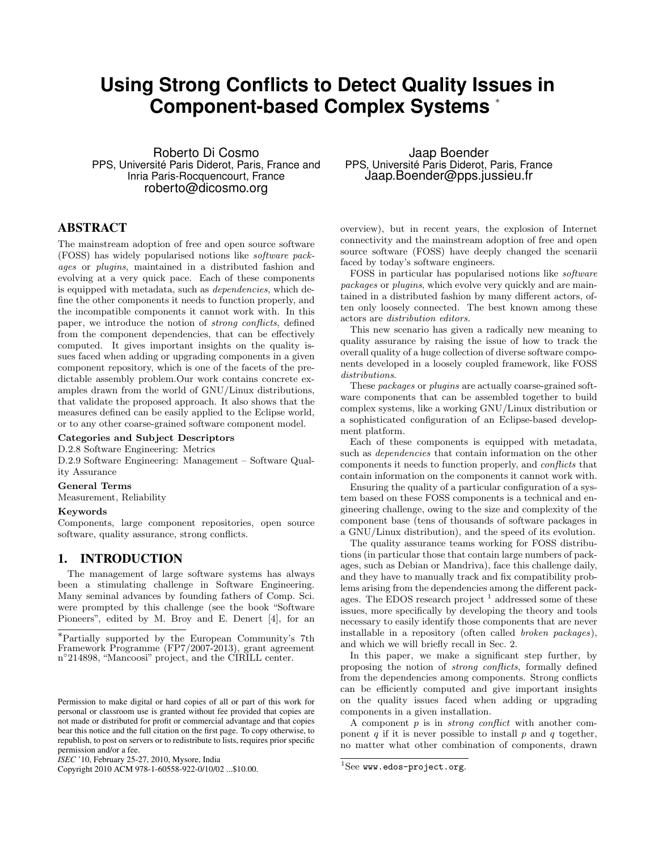# **Using Strong Conflicts to Detect Quality Issues in Component-based Complex Systems** <sup>∗</sup>

Roberto Di Cosmo PPS, Université Paris Diderot, Paris, France and Inria Paris-Rocquencourt, France roberto@dicosmo.org

# ABSTRACT

The mainstream adoption of free and open source software (FOSS) has widely popularised notions like software packages or plugins, maintained in a distributed fashion and evolving at a very quick pace. Each of these components is equipped with metadata, such as dependencies, which define the other components it needs to function properly, and the incompatible components it cannot work with. In this paper, we introduce the notion of strong conflicts, defined from the component dependencies, that can be effectively computed. It gives important insights on the quality issues faced when adding or upgrading components in a given component repository, which is one of the facets of the predictable assembly problem.Our work contains concrete examples drawn from the world of GNU/Linux distributions, that validate the proposed approach. It also shows that the measures defined can be easily applied to the Eclipse world, or to any other coarse-grained software component model.

#### Categories and Subject Descriptors

D.2.8 Software Engineering: Metrics

D.2.9 Software Engineering: Management – Software Quality Assurance

#### General Terms

Measurement, Reliability

#### Keywords

Components, large component repositories, open source software, quality assurance, strong conflicts.

### 1. INTRODUCTION

The management of large software systems has always been a stimulating challenge in Software Engineering. Many seminal advances by founding fathers of Comp. Sci. were prompted by this challenge (see the book "Software Pioneers", edited by M. Broy and E. Denert [4], for an

Copyright 2010 ACM 978-1-60558-922-0/10/02 ...\$10.00.

Jaap Boender PPS, Université Paris Diderot, Paris, France Jaap.Boender@pps.jussieu.fr

overview), but in recent years, the explosion of Internet connectivity and the mainstream adoption of free and open source software (FOSS) have deeply changed the scenarii faced by today's software engineers.

FOSS in particular has popularised notions like software packages or plugins, which evolve very quickly and are maintained in a distributed fashion by many different actors, often only loosely connected. The best known among these actors are distribution editors.

This new scenario has given a radically new meaning to quality assurance by raising the issue of how to track the overall quality of a huge collection of diverse software components developed in a loosely coupled framework, like FOSS distributions.

These packages or plugins are actually coarse-grained software components that can be assembled together to build complex systems, like a working GNU/Linux distribution or a sophisticated configuration of an Eclipse-based development platform.

Each of these components is equipped with metadata, such as *dependencies* that contain information on the other components it needs to function properly, and conflicts that contain information on the components it cannot work with.

Ensuring the quality of a particular configuration of a system based on these FOSS components is a technical and engineering challenge, owing to the size and complexity of the component base (tens of thousands of software packages in a GNU/Linux distribution), and the speed of its evolution.

The quality assurance teams working for FOSS distributions (in particular those that contain large numbers of packages, such as Debian or Mandriva), face this challenge daily, and they have to manually track and fix compatibility problems arising from the dependencies among the different packages. The EDOS research project  $<sup>1</sup>$  addressed some of these</sup> issues, more specifically by developing the theory and tools necessary to easily identify those components that are never installable in a repository (often called broken packages), and which we will briefly recall in Sec. 2.

In this paper, we make a significant step further, by proposing the notion of strong conflicts, formally defined from the dependencies among components. Strong conflicts can be efficiently computed and give important insights on the quality issues faced when adding or upgrading components in a given installation.

A component  $p$  is in *strong conflict* with another component  $q$  if it is never possible to install  $p$  and  $q$  together, no matter what other combination of components, drawn

<sup>∗</sup>Partially supported by the European Community's 7th Framework Programme (FP7/2007-2013), grant agreement n°214898, "Mancoosi" project, and the CIRILL center.

Permission to make digital or hard copies of all or part of this work for personal or classroom use is granted without fee provided that copies are not made or distributed for profit or commercial advantage and that copies bear this notice and the full citation on the first page. To copy otherwise, to republish, to post on servers or to redistribute to lists, requires prior specific permission and/or a fee.

*ISEC* '10, February 25-27, 2010, Mysore, India

 $1$ See www.edos-project.org.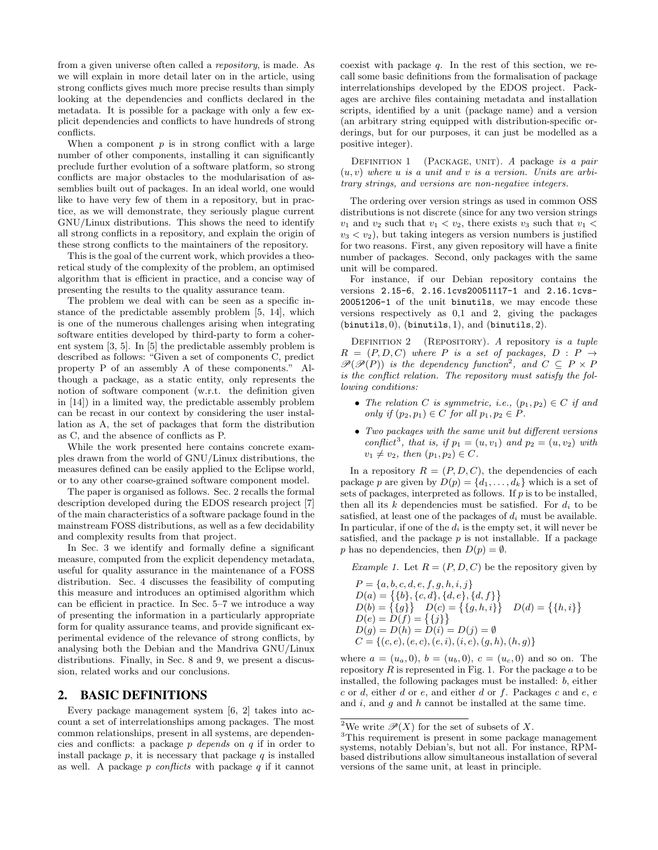from a given universe often called a repository, is made. As we will explain in more detail later on in the article, using strong conflicts gives much more precise results than simply looking at the dependencies and conflicts declared in the metadata. It is possible for a package with only a few explicit dependencies and conflicts to have hundreds of strong conflicts.

When a component  $p$  is in strong conflict with a large number of other components, installing it can significantly preclude further evolution of a software platform, so strong conflicts are major obstacles to the modularisation of assemblies built out of packages. In an ideal world, one would like to have very few of them in a repository, but in practice, as we will demonstrate, they seriously plague current GNU/Linux distributions. This shows the need to identify all strong conflicts in a repository, and explain the origin of these strong conflicts to the maintainers of the repository.

This is the goal of the current work, which provides a theoretical study of the complexity of the problem, an optimised algorithm that is efficient in practice, and a concise way of presenting the results to the quality assurance team.

The problem we deal with can be seen as a specific instance of the predictable assembly problem [5, 14], which is one of the numerous challenges arising when integrating software entities developed by third-party to form a coherent system [3, 5]. In [5] the predictable assembly problem is described as follows: "Given a set of components C, predict property P of an assembly A of these components." Although a package, as a static entity, only represents the notion of software component (w.r.t. the definition given in [14]) in a limited way, the predictable assembly problem can be recast in our context by considering the user installation as A, the set of packages that form the distribution as C, and the absence of conflicts as P.

While the work presented here contains concrete examples drawn from the world of GNU/Linux distributions, the measures defined can be easily applied to the Eclipse world, or to any other coarse-grained software component model.

The paper is organised as follows. Sec. 2 recalls the formal description developed during the EDOS research project [7] of the main characteristics of a software package found in the mainstream FOSS distributions, as well as a few decidability and complexity results from that project.

In Sec. 3 we identify and formally define a significant measure, computed from the explicit dependency metadata, useful for quality assurance in the maintenance of a FOSS distribution. Sec. 4 discusses the feasibility of computing this measure and introduces an optimised algorithm which can be efficient in practice. In Sec. 5–7 we introduce a way of presenting the information in a particularly appropriate form for quality assurance teams, and provide significant experimental evidence of the relevance of strong conflicts, by analysing both the Debian and the Mandriva GNU/Linux distributions. Finally, in Sec. 8 and 9, we present a discussion, related works and our conclusions.

### 2. BASIC DEFINITIONS

Every package management system [6, 2] takes into account a set of interrelationships among packages. The most common relationships, present in all systems, are dependencies and conflicts: a package p depends on q if in order to install package  $p$ , it is necessary that package  $q$  is installed as well. A package  $p$  conflicts with package  $q$  if it cannot coexist with package  $q$ . In the rest of this section, we recall some basic definitions from the formalisation of package interrelationships developed by the EDOS project. Packages are archive files containing metadata and installation scripts, identified by a unit (package name) and a version (an arbitrary string equipped with distribution-specific orderings, but for our purposes, it can just be modelled as a positive integer).

DEFINITION 1 (PACKAGE, UNIT). A package is a pair  $(u, v)$  where u is a unit and v is a version. Units are arbitrary strings, and versions are non-negative integers.

The ordering over version strings as used in common OSS distributions is not discrete (since for any two version strings  $v_1$  and  $v_2$  such that  $v_1 < v_2$ , there exists  $v_3$  such that  $v_1 <$  $v_3 < v_2$ ), but taking integers as version numbers is justified for two reasons. First, any given repository will have a finite number of packages. Second, only packages with the same unit will be compared.

For instance, if our Debian repository contains the versions 2.15-6, 2.16.1cvs20051117-1 and 2.16.1cvs-20051206-1 of the unit binutils, we may encode these versions respectively as 0,1 and 2, giving the packages  $(binutils, 0), (binutils, 1), and (binutils, 2).$ 

DEFINITION  $2$  (REPOSITORY). A repository is a tuple  $R = (P, D, C)$  where P is a set of packages,  $D : P \rightarrow$  $\mathscr{P}(\mathscr{P}(P))$  is the dependency function<sup>2</sup>, and  $C \subseteq P \times P$ is the conflict relation. The repository must satisfy the following conditions:

- The relation C is symmetric, i.e.,  $(p_1, p_2) \in C$  if and only if  $(p_2, p_1) \in C$  for all  $p_1, p_2 \in P$ .
- Two packages with the same unit but different versions conflict<sup>3</sup>, that is, if  $p_1 = (u, v_1)$  and  $p_2 = (u, v_2)$  with  $v_1 \neq v_2$ , then  $(p_1, p_2) \in C$ .

In a repository  $R = (P, D, C)$ , the dependencies of each package p are given by  $D(p) = \{d_1, \ldots, d_k\}$  which is a set of sets of packages, interpreted as follows. If  $p$  is to be installed, then all its k dependencies must be satisfied. For  $d_i$  to be satisfied, at least one of the packages of  $d_i$  must be available. In particular, if one of the  $d_i$  is the empty set, it will never be satisfied, and the package  $p$  is not installable. If a package p has no dependencies, then  $D(p) = \emptyset$ .

Example 1. Let  $R = (P, D, C)$  be the repository given by

$$
P = \{a, b, c, d, e, f, g, h, i, j\}
$$
  
\n
$$
D(a) = \{\{b\}, \{c, d\}, \{d, e\}, \{d, f\}\}
$$
  
\n
$$
D(b) = \{\{g\}\} \quad D(c) = \{\{g, h, i\}\} \quad D(d) = \{\{h, i\}\}
$$
  
\n
$$
D(e) = D(f) = \{\{j\}\}
$$
  
\n
$$
D(g) = D(h) = D(i) = D(j) = \emptyset
$$
  
\n
$$
C = \{(c, e), (e, c), (e, i), (i, e), (g, h), (h, g)\}
$$

where  $a = (u_a, 0), b = (u_b, 0), c = (u_c, 0)$  and so on. The repository  $R$  is represented in Fig. 1. For the package  $a$  to be installed, the following packages must be installed: b, either  $c$  or  $d$ , either  $d$  or  $e$ , and either  $d$  or  $f$ . Packages  $c$  and  $e$ ,  $e$ and  $i$ , and  $g$  and  $h$  cannot be installed at the same time.

<sup>&</sup>lt;sup>2</sup>We write  $\mathscr{P}(X)$  for the set of subsets of X.

<sup>3</sup>This requirement is present in some package management systems, notably Debian's, but not all. For instance, RPMbased distributions allow simultaneous installation of several versions of the same unit, at least in principle.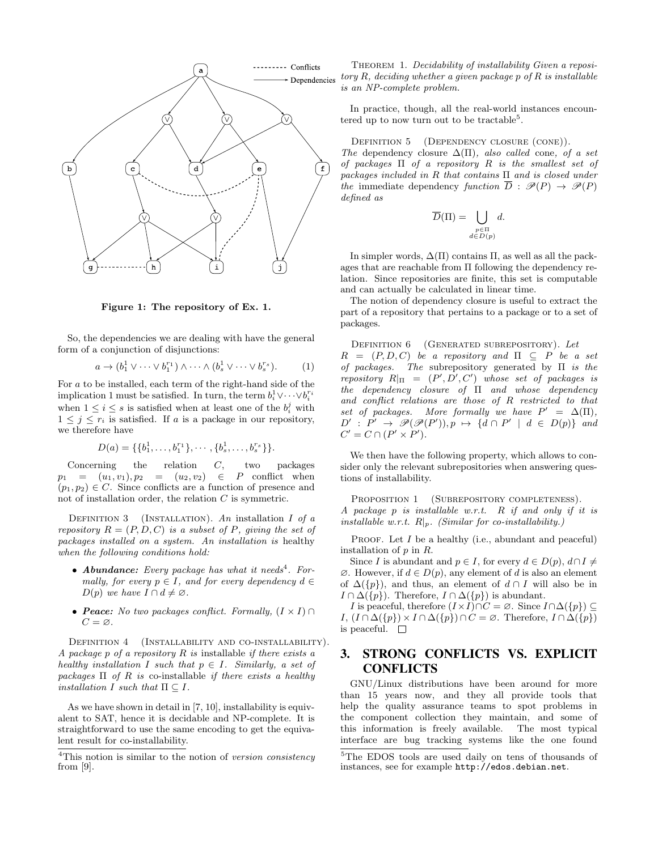

Figure 1: The repository of Ex. 1.

So, the dependencies we are dealing with have the general form of a conjunction of disjunctions:

$$
a \to (b_1^1 \vee \cdots \vee b_1^{r_1}) \wedge \cdots \wedge (b_s^1 \vee \cdots \vee b_s^{r_s}). \qquad (1)
$$

For a to be installed, each term of the right-hand side of the implication 1 must be satisfied. In turn, the term  $b_i^1 \vee \cdots \vee b_i^{r_i}$ when  $1 \leq i \leq s$  is satisfied when at least one of the  $b_i^j$  with  $1 \leq j \leq r_i$  is satisfied. If a is a package in our repository, we therefore have

$$
D(a) = \{\{b_1^1, \ldots, b_1^{r_1}\}, \cdots, \{b_s^1, \ldots, b_s^{r_s}\}\}.
$$

Concerning the relation C, two packages  $p_1 = (u_1, v_1), p_2 = (u_2, v_2) \in P$  conflict when  $(p_1, p_2) \in C$ . Since conflicts are a function of presence and not of installation order, the relation  $C$  is symmetric.

DEFINITION 3 (INSTALLATION). An installation I of a repository  $R = (P, D, C)$  is a subset of P, giving the set of packages installed on a system. An installation is healthy when the following conditions hold:

- **Abundance:** Every package has what it needs<sup>4</sup>. Formally, for every  $p \in I$ , and for every dependency  $d \in$  $D(p)$  we have  $I \cap d \neq \emptyset$ .
- **Peace:** No two packages conflict. Formally,  $(I \times I)$  $C = \varnothing$ .

DEFINITION 4 (INSTALLABILITY AND CO-INSTALLABILITY). A package  $p$  of a repository  $R$  is installable if there exists a healthy installation I such that  $p \in I$ . Similarly, a set of packages  $\Pi$  of R is co-installable if there exists a healthy installation I such that  $\Pi \subseteq I$ .

As we have shown in detail in [7, 10], installability is equivalent to SAT, hence it is decidable and NP-complete. It is straightforward to use the same encoding to get the equivalent result for co-installability.

THEOREM 1. Decidability of installability Given a repository  $R$ , deciding whether a given package p of  $R$  is installable is an NP-complete problem.

In practice, though, all the real-world instances encountered up to now turn out to be tractable<sup>5</sup>.

DEFINITION 5 (DEPENDENCY CLOSURE (CONE)).

The dependency closure  $\Delta(\Pi)$ , also called cone, of a set of packages  $\Pi$  of a repository  $R$  is the smallest set of packages included in R that contains  $\Pi$  and is closed under the immediate dependency function  $\overline{D}$  :  $\mathscr{P}(P) \rightarrow \mathscr{P}(P)$ defined as

$$
\overline{D}(\Pi) = \bigcup_{\substack{p \in \Pi \\ d \in D(p)}} d.
$$

In simpler words,  $\Delta(\Pi)$  contains  $\Pi$ , as well as all the packages that are reachable from Π following the dependency relation. Since repositories are finite, this set is computable and can actually be calculated in linear time.

The notion of dependency closure is useful to extract the part of a repository that pertains to a package or to a set of packages.

DEFINITION 6 (GENERATED SUBREPOSITORY). Let  $R = (P, D, C)$  be a repository and  $\Pi \subseteq P$  be a set of packages. The subrepository generated by  $\Pi$  is the repository  $R|_{\Pi} = (P', D', C')$  whose set of packages is the dependency closure of Π and whose dependency and conflict relations are those of R restricted to that set of packages. More formally we have  $P' = \Delta(\Pi)$ ,  $D' : P' \rightarrow \mathscr{P}(\mathscr{P}(P'))$ ,  $p \mapsto \{d \cap P' \mid d \in D(p)\}$  and  $C' = C \cap (P' \times P')$ .

We then have the following property, which allows to consider only the relevant subrepositories when answering questions of installability.

PROPOSITION 1 (SUBREPOSITORY COMPLETENESS). A package p is installable w.r.t. R if and only if it is installable w.r.t.  $R|_p$ . (Similar for co-installability.)

PROOF. Let  $I$  be a healthy (i.e., abundant and peaceful) installation of  $p$  in  $R$ .

Since I is abundant and  $p \in I$ , for every  $d \in D(p)$ ,  $d \cap I \neq$  $\emptyset$ . However, if  $d \in D(p)$ , any element of d is also an element of  $\Delta({p})$ , and thus, an element of  $d \cap I$  will also be in  $I \cap \Delta({p})$ . Therefore,  $I \cap \Delta({p})$  is abundant.

*I* is peaceful, therefore  $(I \times I) \cap C = \emptyset$ . Since  $I \cap \Delta({p}) \subseteq$  $I, (I \cap \Delta({p}) \times I \cap \Delta({p}) \cap C = \emptyset$ . Therefore,  $I \cap \Delta({p})$ is peaceful.  $\square$ 

# 3. STRONG CONFLICTS VS. EXPLICIT **CONFLICTS**

GNU/Linux distributions have been around for more than 15 years now, and they all provide tools that help the quality assurance teams to spot problems in the component collection they maintain, and some of this information is freely available. The most typical interface are bug tracking systems like the one found

<sup>&</sup>lt;sup>4</sup>This notion is similar to the notion of version consistency from [9].

<sup>5</sup>The EDOS tools are used daily on tens of thousands of instances, see for example http://edos.debian.net.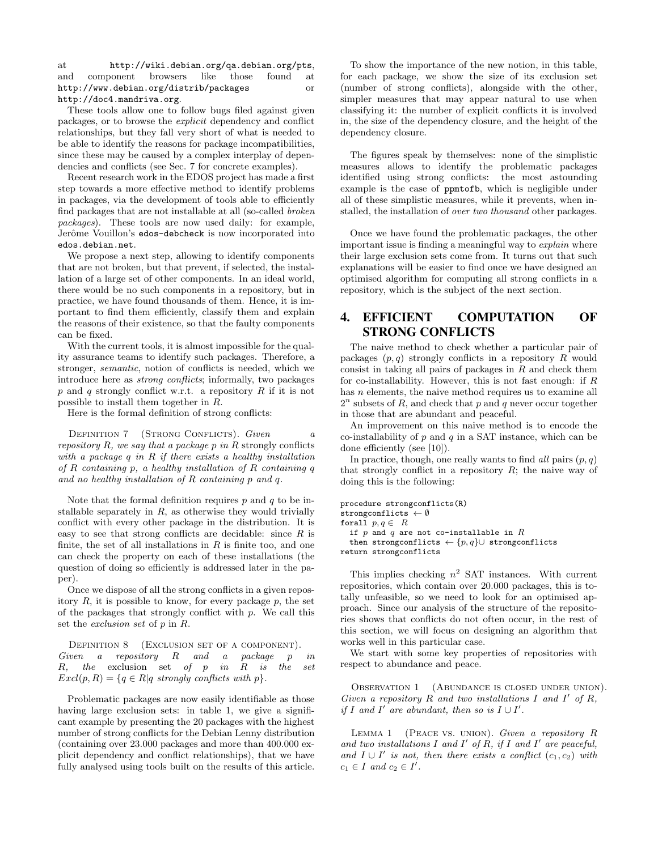at http://wiki.debian.org/qa.debian.org/pts, and component browsers like those found at http://www.debian.org/distrib/packages or http://doc4.mandriva.org.

These tools allow one to follow bugs filed against given packages, or to browse the explicit dependency and conflict relationships, but they fall very short of what is needed to be able to identify the reasons for package incompatibilities, since these may be caused by a complex interplay of dependencies and conflicts (see Sec. 7 for concrete examples).

Recent research work in the EDOS project has made a first step towards a more effective method to identify problems in packages, via the development of tools able to efficiently find packages that are not installable at all (so-called broken packages). These tools are now used daily: for example, Jerôme Vouillon's edos-debcheck is now incorporated into edos.debian.net.

We propose a next step, allowing to identify components that are not broken, but that prevent, if selected, the installation of a large set of other components. In an ideal world, there would be no such components in a repository, but in practice, we have found thousands of them. Hence, it is important to find them efficiently, classify them and explain the reasons of their existence, so that the faulty components can be fixed.

With the current tools, it is almost impossible for the quality assurance teams to identify such packages. Therefore, a stronger, semantic, notion of conflicts is needed, which we introduce here as strong conflicts; informally, two packages  $p$  and  $q$  strongly conflict w.r.t. a repository  $R$  if it is not possible to install them together in R.

Here is the formal definition of strong conflicts:

DEFINITION  $7$  (STRONG CONFLICTS). Given  $a$ repository R, we say that a package p in R strongly conflicts with a package  $q$  in  $R$  if there exists a healthy installation of R containing p, a healthy installation of R containing q and no healthy installation of  $R$  containing  $p$  and  $q$ .

Note that the formal definition requires  $p$  and  $q$  to be installable separately in  $R$ , as otherwise they would trivially conflict with every other package in the distribution. It is easy to see that strong conflicts are decidable: since  $R$  is finite, the set of all installations in  $R$  is finite too, and one can check the property on each of these installations (the question of doing so efficiently is addressed later in the paper).

Once we dispose of all the strong conflicts in a given repository  $R$ , it is possible to know, for every package  $p$ , the set of the packages that strongly conflict with  $p$ . We call this set the exclusion set of p in R.

DEFINITION 8 (EXCLUSION SET OF A COMPONENT). Given a repository R and a package p in  $R$ , the exclusion set of  $p$  in  $R$  is the set  $Excl(p, R) = \{q \in R | q \text{ strongly conflicts with } p\}.$ 

Problematic packages are now easily identifiable as those having large exclusion sets: in table 1, we give a significant example by presenting the 20 packages with the highest number of strong conflicts for the Debian Lenny distribution (containing over 23.000 packages and more than 400.000 explicit dependency and conflict relationships), that we have fully analysed using tools built on the results of this article.

To show the importance of the new notion, in this table, for each package, we show the size of its exclusion set (number of strong conflicts), alongside with the other, simpler measures that may appear natural to use when classifying it: the number of explicit conflicts it is involved in, the size of the dependency closure, and the height of the dependency closure.

The figures speak by themselves: none of the simplistic measures allows to identify the problematic packages identified using strong conflicts: the most astounding example is the case of ppmtofb, which is negligible under all of these simplistic measures, while it prevents, when installed, the installation of over two thousand other packages.

Once we have found the problematic packages, the other important issue is finding a meaningful way to explain where their large exclusion sets come from. It turns out that such explanations will be easier to find once we have designed an optimised algorithm for computing all strong conflicts in a repository, which is the subject of the next section.

# 4. EFFICIENT COMPUTATION OF STRONG CONFLICTS

The naive method to check whether a particular pair of packages  $(p, q)$  strongly conflicts in a repository R would consist in taking all pairs of packages in  $R$  and check them for co-installability. However, this is not fast enough: if  $R$ has *n* elements, the naive method requires us to examine all  $2^n$  subsets of R, and check that p and q never occur together in those that are abundant and peaceful.

An improvement on this naive method is to encode the co-installability of  $p$  and  $q$  in a SAT instance, which can be done efficiently (see [10]).

In practice, though, one really wants to find all pairs  $(p, q)$ that strongly conflict in a repository  $R$ ; the naive way of doing this is the following:

```
procedure strongconflicts(R)
strongconflicts \leftarrow \emptysetforall p, q \in Rif p and q are not co-installable in Rthen strongconflicts \leftarrow \{p, q\} \cup strongconflicts
return strongconflicts
```
This implies checking  $n^2$  SAT instances. With current repositories, which contain over 20.000 packages, this is totally unfeasible, so we need to look for an optimised approach. Since our analysis of the structure of the repositories shows that conflicts do not often occur, in the rest of this section, we will focus on designing an algorithm that works well in this particular case.

We start with some key properties of repositories with respect to abundance and peace.

OBSERVATION 1 (ABUNDANCE IS CLOSED UNDER UNION). Given a repository  $R$  and two installations  $I$  and  $I'$  of  $R$ , if I and I' are abundant, then so is  $I \cup I'$ .

LEMMA 1 (PEACE VS. UNION). Given a repository  $R$ and two installations  $I$  and  $I'$  of  $R$ , if  $I$  and  $I'$  are peaceful, and  $I \cup I'$  is not, then there exists a conflict  $(c_1, c_2)$  with  $c_1 \in I$  and  $c_2 \in I'$ .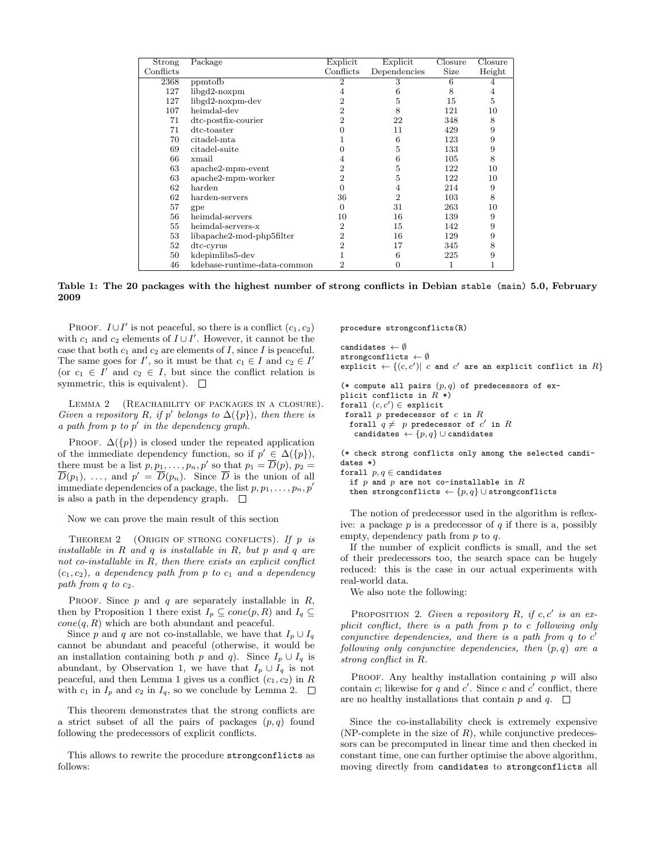| Strong    | Package                     | Explicit       | Explicit     | Closure | Closure |
|-----------|-----------------------------|----------------|--------------|---------|---------|
| Conflicts |                             | Conflicts      | Dependencies | Size    | Height  |
| 2368      | ppmtofb                     | $\overline{2}$ | 3            | 6       |         |
| 127       | $libgd2-noxpm$              | 4              |              | 8       | 4       |
| 127       | libgd2-noxpm-dev            | 2              | 5            | 15      | 5       |
| 107       | heimdal-dev                 | $\overline{2}$ | 8            | 121     | 10      |
| 71        | dtc-postfix-courier         | $\mathfrak{D}$ | 22           | 348     | 8       |
| 71        | dtc-toaster                 |                | 11           | 429     | 9       |
| 70        | citadel-mta                 |                | 6            | 123     | 9       |
| 69        | citadel-suite               |                | 5            | 133     | 9       |
| 66        | xmail                       | 4              | 6            | 105     | 8       |
| 63        | $apache2$ -mpm-event        | $\overline{2}$ | 5            | 122     | 10      |
| 63        | $apache2-mpm-worker$        | $\overline{2}$ | 5            | 122     | 10      |
| 62        | harden                      | 0              | 4            | 214     | 9       |
| 62        | harden-servers              | 36             | 2            | 103     | 8       |
| 57        | gpe                         | 0              | 31           | 263     | 10      |
| 56        | heimdal-servers             | 10             | 16           | 139     | 9       |
| 55        | heimdal-servers-x           | $\overline{2}$ | 15           | 142     | 9       |
| 53        | libapache2-mod-php5filter   | $\overline{2}$ | 16           | 129     | 9       |
| 52        | dtc-cyrus                   | $\overline{2}$ | 17           | 345     | 8       |
| 50        | kdepimlibs5-dev             |                | 6            | 225     | 9       |
| 46        | kdebase-runtime-data-common | 2              |              |         |         |

Table 1: The 20 packages with the highest number of strong conflicts in Debian stable (main) 5.0, February 2009

PROOF.  $I \cup I'$  is not peaceful, so there is a conflict  $(c_1, c_2)$ with  $c_1$  and  $c_2$  elements of  $I \cup I'$ . However, it cannot be the case that both  $c_1$  and  $c_2$  are elements of I, since I is peaceful. The same goes for  $I'$ , so it must be that  $c_1 \in I$  and  $c_2 \in I'$ (or  $c_1 \in I'$  and  $c_2 \in I$ , but since the conflict relation is symmetric, this is equivalent).  $\square$ 

LEMMA 2 (REACHABILITY OF PACKAGES IN A CLOSURE). Given a repository R, if p' belongs to  $\Delta({p})$ , then there is  $a$  path from  $p$  to  $p'$  in the dependency graph.

PROOF.  $\Delta(\lbrace p \rbrace)$  is closed under the repeated application of the immediate dependency function, so if  $p' \in \Delta({p}),$ there must be a list  $p, p_1, \ldots, p_n, p'$  so that  $p_1 = \overline{D}(p), p_2 =$  $\overline{D}(p_1), \ldots$ , and  $p' = \overline{D}(p_n)$ . Since  $\overline{D}$  is the union of all immediate dependencies of a package, the list  $p, p_1, \ldots, p_n, p'$ is also a path in the dependency graph.  $\square$ 

Now we can prove the main result of this section

THEOREM 2 (ORIGIN OF STRONG CONFLICTS). If  $p$  is installable in R and q is installable in R, but p and q are not co-installable in R, then there exists an explicit conflict  $(c_1, c_2)$ , a dependency path from p to  $c_1$  and a dependency path from  $q$  to  $c_2$ .

PROOF. Since  $p$  and  $q$  are separately installable in  $R$ , then by Proposition 1 there exist  $I_p \subseteq cone(p, R)$  and  $I_q \subseteq$  $cone(q, R)$  which are both abundant and peaceful.

Since p and q are not co-installable, we have that  $I_p \cup I_q$ cannot be abundant and peaceful (otherwise, it would be an installation containing both p and q). Since  $I_p \cup I_q$  is abundant, by Observation 1, we have that  $I_p \cup I_q$  is not peaceful, and then Lemma 1 gives us a conflict  $(c_1, c_2)$  in R with  $c_1$  in  $I_p$  and  $c_2$  in  $I_q$ , so we conclude by Lemma 2.  $\Box$ 

This theorem demonstrates that the strong conflicts are a strict subset of all the pairs of packages  $(p, q)$  found following the predecessors of explicit conflicts.

This allows to rewrite the procedure strongconflicts as follows:

procedure strongconflicts(R)

```
candidates \leftarrow \emptysetstrongconflicts \leftarrow \emptysetexplicit \leftarrow \{(c, c') | c and c' are an explicit conflict in R\}
```

```
(* compute all pairs (p, q) of predecessors of ex-
plicit conflicts in R^*)
forall (c, c') \in explicit
 forall p predecessor of c in Rforall q \neq p predecessor of c' in Rcandidates \leftarrow \{p, q\} \cup candidates
```
(\* check strong conflicts only among the selected candidates \*)

forall  $p, q \in$  candidates

if p and p are not co-installable in  $R$ then strongconflicts  $\leftarrow \{p, q\} \cup \text{strongconflicts}$ 

The notion of predecessor used in the algorithm is reflexive: a package  $p$  is a predecessor of  $q$  if there is a, possibly empty, dependency path from p to q.

If the number of explicit conflicts is small, and the set of their predecessors too, the search space can be hugely reduced: this is the case in our actual experiments with real-world data.

We also note the following:

PROPOSITION 2. Given a repository  $R$ , if  $c, c'$  is an explicit conflict, there is a path from p to c following only conjunctive dependencies, and there is a path from  $q$  to  $c'$ following only conjunctive dependencies, then  $(p, q)$  are a strong conflict in R.

PROOF. Any healthy installation containing  $p$  will also contain c; likewise for q and c'. Since c and c' conflict, there are no healthy installations that contain p and q.  $\square$ 

Since the co-installability check is extremely expensive (NP-complete in the size of  $R$ ), while conjunctive predecessors can be precomputed in linear time and then checked in constant time, one can further optimise the above algorithm, moving directly from candidates to strongconflicts all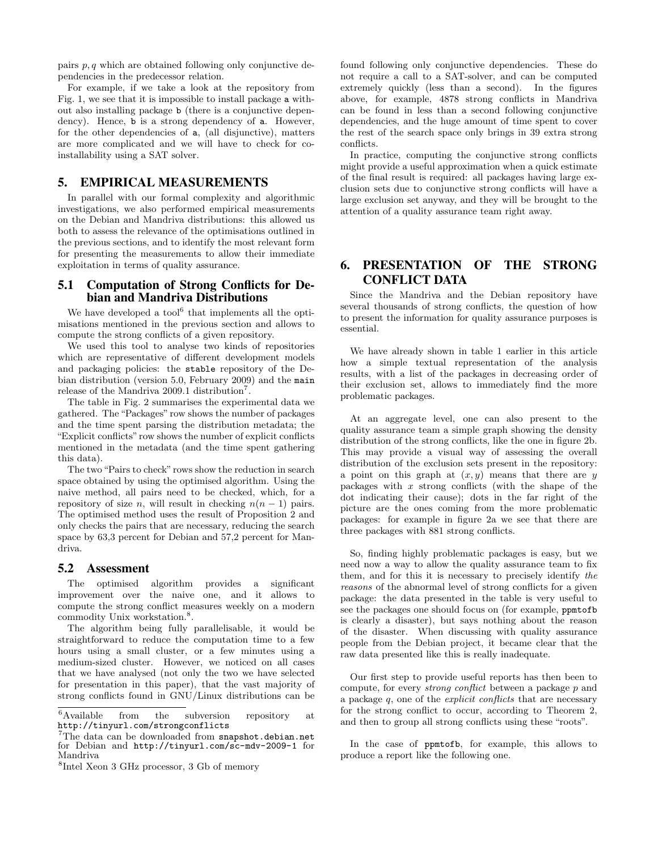pairs  $p, q$  which are obtained following only conjunctive dependencies in the predecessor relation.

For example, if we take a look at the repository from Fig. 1, we see that it is impossible to install package a without also installing package b (there is a conjunctive dependency). Hence, b is a strong dependency of a. However, for the other dependencies of a, (all disjunctive), matters are more complicated and we will have to check for coinstallability using a SAT solver.

### 5. EMPIRICAL MEASUREMENTS

In parallel with our formal complexity and algorithmic investigations, we also performed empirical measurements on the Debian and Mandriva distributions: this allowed us both to assess the relevance of the optimisations outlined in the previous sections, and to identify the most relevant form for presenting the measurements to allow their immediate exploitation in terms of quality assurance.

### 5.1 Computation of Strong Conflicts for Debian and Mandriva Distributions

We have developed a tool $<sup>6</sup>$  that implements all the opti-</sup> misations mentioned in the previous section and allows to compute the strong conflicts of a given repository.

We used this tool to analyse two kinds of repositories which are representative of different development models and packaging policies: the stable repository of the Debian distribution (version 5.0, February 2009) and the main release of the Mandriva 2009.1 distribution<sup>7</sup>.

The table in Fig. 2 summarises the experimental data we gathered. The "Packages" row shows the number of packages and the time spent parsing the distribution metadata; the "Explicit conflicts" row shows the number of explicit conflicts mentioned in the metadata (and the time spent gathering this data).

The two "Pairs to check" rows show the reduction in search space obtained by using the optimised algorithm. Using the naive method, all pairs need to be checked, which, for a repository of size *n*, will result in checking  $n(n-1)$  pairs. The optimised method uses the result of Proposition 2 and only checks the pairs that are necessary, reducing the search space by 63,3 percent for Debian and 57,2 percent for Mandriva.

#### 5.2 Assessment

The optimised algorithm provides a significant improvement over the naive one, and it allows to compute the strong conflict measures weekly on a modern commodity Unix workstation.<sup>8</sup>.

The algorithm being fully parallelisable, it would be straightforward to reduce the computation time to a few hours using a small cluster, or a few minutes using a medium-sized cluster. However, we noticed on all cases that we have analysed (not only the two we have selected for presentation in this paper), that the vast majority of strong conflicts found in GNU/Linux distributions can be

found following only conjunctive dependencies. These do not require a call to a SAT-solver, and can be computed extremely quickly (less than a second). In the figures above, for example, 4878 strong conflicts in Mandriva can be found in less than a second following conjunctive dependencies, and the huge amount of time spent to cover the rest of the search space only brings in 39 extra strong conflicts.

In practice, computing the conjunctive strong conflicts might provide a useful approximation when a quick estimate of the final result is required: all packages having large exclusion sets due to conjunctive strong conflicts will have a large exclusion set anyway, and they will be brought to the attention of a quality assurance team right away.

# 6. PRESENTATION OF THE STRONG CONFLICT DATA

Since the Mandriva and the Debian repository have several thousands of strong conflicts, the question of how to present the information for quality assurance purposes is essential.

We have already shown in table 1 earlier in this article how a simple textual representation of the analysis results, with a list of the packages in decreasing order of their exclusion set, allows to immediately find the more problematic packages.

At an aggregate level, one can also present to the quality assurance team a simple graph showing the density distribution of the strong conflicts, like the one in figure 2b. This may provide a visual way of assessing the overall distribution of the exclusion sets present in the repository: a point on this graph at  $(x, y)$  means that there are y packages with  $x$  strong conflicts (with the shape of the dot indicating their cause); dots in the far right of the picture are the ones coming from the more problematic packages: for example in figure 2a we see that there are three packages with 881 strong conflicts.

So, finding highly problematic packages is easy, but we need now a way to allow the quality assurance team to fix them, and for this it is necessary to precisely identify the reasons of the abnormal level of strong conflicts for a given package: the data presented in the table is very useful to see the packages one should focus on (for example, ppmtofb is clearly a disaster), but says nothing about the reason of the disaster. When discussing with quality assurance people from the Debian project, it became clear that the raw data presented like this is really inadequate.

Our first step to provide useful reports has then been to compute, for every strong conflict between a package p and a package  $q$ , one of the *explicit conflicts* that are necessary for the strong conflict to occur, according to Theorem 2, and then to group all strong conflicts using these "roots".

In the case of ppmtofb, for example, this allows to produce a report like the following one.

<sup>6</sup>Available from the subversion repository at http://tinyurl.com/strongconflicts

 $7$ The data can be downloaded from snapshot.debian.net for Debian and http://tinyurl.com/sc-mdv-2009-1 for Mandriva

<sup>8</sup> Intel Xeon 3 GHz processor, 3 Gb of memory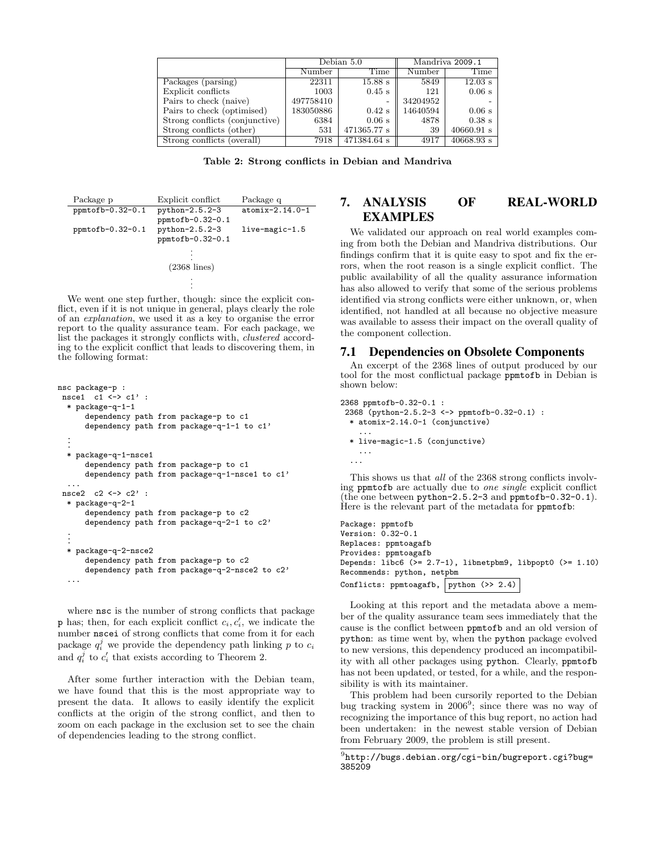|                                | Debian 5.0 |             | Mandriva 2009.1 |                      |
|--------------------------------|------------|-------------|-----------------|----------------------|
|                                | Number     | Time        | Number          | Time                 |
| Packages (parsing)             | 22311      | $15.88$ s   | 5849            | $12.03$ s            |
| Explicit conflicts             | 1003       | $0.45$ s    | 121             | $0.06$ s             |
| Pairs to check (naive)         | 497758410  |             | 34204952        |                      |
| Pairs to check (optimised)     | 183050886  | $0.42$ s    | 14640594        | $0.06$ s             |
| Strong conflicts (conjunctive) | 6384       | $0.06$ s    | 4878            | $0.38$ s             |
| Strong conflicts (other)       | 531        | 471365.77 s | 39              | $40660.91$ s         |
| Strong conflicts (overall)     | 7918       | 471384.64 s | 4917            | $40668.93 \text{ s}$ |

Table 2: Strong conflicts in Debian and Mandriva

| Package p        | Explicit conflict | Package q         |
|------------------|-------------------|-------------------|
| ppmtofb-0.32-0.1 | $python-2.5.2-3$  | $atomix-2.14.0-1$ |
|                  | ppmtofb-0.32-0.1  |                   |
| ppmtofb-0.32-0.1 | python-2.5.2-3    | $live-magic-1.5$  |
|                  | ppmtofb-0.32-0.1  |                   |
|                  |                   |                   |
|                  |                   |                   |
|                  | $(2368$ lines)    |                   |
|                  |                   |                   |
|                  |                   |                   |

We went one step further, though: since the explicit conflict, even if it is not unique in general, plays clearly the role of an explanation, we used it as a key to organise the error report to the quality assurance team. For each package, we list the packages it strongly conflicts with, clustered according to the explicit conflict that leads to discovering them, in the following format:

```
nsc package-p :
nsce1 c1 <-> c1' :
  * package-q-1-1
      dependency path from package-p to c1
      dependency path from package-q-1-1 to c1'
  .
  .
  .
  * package-q-1-nsce1
      dependency path from package-p to c1
      dependency path from package-q-1-nsce1 to c1'
  ...
nsce2 c2 <-> c2' :
  * package-q-2-1
      dependency path from package-p to c2
      dependency path from package-q-2-1 to c2'
  .
  .
  .
  * package-q-2-nsce2
      dependency path from package-p to c2
      dependency path from package-q-2-nsce2 to c2'
  ...
```
where  $\texttt{nsc}$  is the number of strong conflicts that package **p** has; then, for each explicit conflict  $c_i, c'_i$ , we indicate the number nscei of strong conflicts that come from it for each package  $q_i^j$  we provide the dependency path linking p to  $c_i$ and  $q_i^j$  to  $c_i'$  that exists according to Theorem 2.

After some further interaction with the Debian team, we have found that this is the most appropriate way to present the data. It allows to easily identify the explicit conflicts at the origin of the strong conflict, and then to zoom on each package in the exclusion set to see the chain of dependencies leading to the strong conflict.

# 7. ANALYSIS OF REAL-WORLD EXAMPLES

We validated our approach on real world examples coming from both the Debian and Mandriva distributions. Our findings confirm that it is quite easy to spot and fix the errors, when the root reason is a single explicit conflict. The public availability of all the quality assurance information has also allowed to verify that some of the serious problems identified via strong conflicts were either unknown, or, when identified, not handled at all because no objective measure was available to assess their impact on the overall quality of the component collection.

### 7.1 Dependencies on Obsolete Components

An excerpt of the 2368 lines of output produced by our tool for the most conflictual package ppmtofb in Debian is shown below:

```
2368 ppmtofb-0.32-0.1 :
 2368 (python-2.5.2-3 <-> ppmtofb-0.32-0.1) :
  * atomix-2.14.0-1 (conjunctive)
    ...
  * live-magic-1.5 (conjunctive)
   ...
  ...
```
This shows us that all of the 2368 strong conflicts involving ppmtofb are actually due to one single explicit conflict (the one between python-2.5.2-3 and ppmtofb-0.32-0.1). Here is the relevant part of the metadata for ppmtofb:

```
Package: ppmtofb
Version: 0.32-0.1
Replaces: ppmtoagafb
Provides: ppmtoagafb
Depends: libc6 (>= 2.7-1), libnetpbm9, libpopt0 (>= 1.10)
Recommends: python, netpbm
Conflicts: ppmtoagafb, python (> 2.4)
```
Looking at this report and the metadata above a member of the quality assurance team sees immediately that the cause is the conflict between ppmtofb and an old version of python: as time went by, when the python package evolved to new versions, this dependency produced an incompatibility with all other packages using python. Clearly, ppmtofb has not been updated, or tested, for a while, and the responsibility is with its maintainer.

This problem had been cursorily reported to the Debian bug tracking system in  $2006^9$ ; since there was no way of recognizing the importance of this bug report, no action had been undertaken: in the newest stable version of Debian from February 2009, the problem is still present.

 $^{9}$ http://bugs.debian.org/cgi-bin/bugreport.cgi?bug= 385209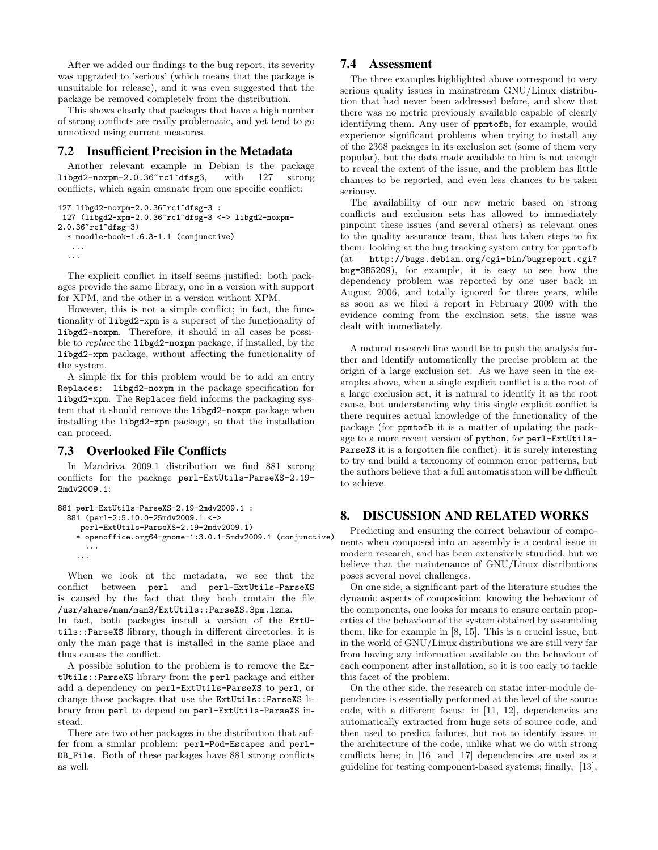After we added our findings to the bug report, its severity was upgraded to 'serious' (which means that the package is unsuitable for release), and it was even suggested that the package be removed completely from the distribution.

This shows clearly that packages that have a high number of strong conflicts are really problematic, and yet tend to go unnoticed using current measures.

### 7.2 Insufficient Precision in the Metadata

Another relevant example in Debian is the package libgd2-noxpm-2.0.36~rc1~dfsg3, with 127 strong conflicts, which again emanate from one specific conflict:

```
127 libgd2-noxpm-2.0.36~rc1~dfsg-3 :
```

```
127 (libgd2-xpm-2.0.36~rc1~dfsg-3 <-> libgd2-noxpm-
2.0.36~rc1~dfsg-3)
```

```
* moodle-book-1.6.3-1.1 (conjunctive)
```
... ...

The explicit conflict in itself seems justified: both packages provide the same library, one in a version with support for XPM, and the other in a version without XPM.

However, this is not a simple conflict; in fact, the functionality of libgd2-xpm is a superset of the functionality of libgd2-noxpm. Therefore, it should in all cases be possible to replace the libgd2-noxpm package, if installed, by the libgd2-xpm package, without affecting the functionality of the system.

A simple fix for this problem would be to add an entry Replaces: libgd2-noxpm in the package specification for libgd2-xpm. The Replaces field informs the packaging system that it should remove the libgd2-noxpm package when installing the libgd2-xpm package, so that the installation can proceed.

# 7.3 Overlooked File Conflicts

In Mandriva 2009.1 distribution we find 881 strong conflicts for the package perl-ExtUtils-ParseXS-2.19- 2mdv2009.1:

```
881 perl-ExtUtils-ParseXS-2.19-2mdv2009.1 :
 881 (perl-2:5.10.0-25mdv2009.1 <->
    perl-ExtUtils-ParseXS-2.19-2mdv2009.1)
    * openoffice.org64-gnome-1:3.0.1-5mdv2009.1 (conjunctive)
     ...
    ...
```
When we look at the metadata, we see that the conflict between perl and perl-ExtUtils-ParseXS is caused by the fact that they both contain the file /usr/share/man/man3/ExtUtils::ParseXS.3pm.lzma.

In fact, both packages install a version of the ExtUtils::ParseXS library, though in different directories: it is only the man page that is installed in the same place and thus causes the conflict.

A possible solution to the problem is to remove the ExtUtils::ParseXS library from the perl package and either add a dependency on perl-ExtUtils-ParseXS to perl, or change those packages that use the ExtUtils::ParseXS library from perl to depend on perl-ExtUtils-ParseXS instead.

There are two other packages in the distribution that suffer from a similar problem: perl-Pod-Escapes and perl-DB\_File. Both of these packages have 881 strong conflicts as well.

# 7.4 Assessment

The three examples highlighted above correspond to very serious quality issues in mainstream GNU/Linux distribution that had never been addressed before, and show that there was no metric previously available capable of clearly identifying them. Any user of ppmtofb, for example, would experience significant problems when trying to install any of the 2368 packages in its exclusion set (some of them very popular), but the data made available to him is not enough to reveal the extent of the issue, and the problem has little chances to be reported, and even less chances to be taken seriousy.

The availability of our new metric based on strong conflicts and exclusion sets has allowed to immediately pinpoint these issues (and several others) as relevant ones to the quality assurance team, that has taken steps to fix them: looking at the bug tracking system entry for ppmtofb (at http://bugs.debian.org/cgi-bin/bugreport.cgi? bug=385209), for example, it is easy to see how the dependency problem was reported by one user back in August 2006, and totally ignored for three years, while as soon as we filed a report in February 2009 with the evidence coming from the exclusion sets, the issue was dealt with immediately.

A natural research line woudl be to push the analysis further and identify automatically the precise problem at the origin of a large exclusion set. As we have seen in the examples above, when a single explicit conflict is a the root of a large exclusion set, it is natural to identify it as the root cause, but understanding why this single explicit conflict is there requires actual knowledge of the functionality of the package (for ppmtofb it is a matter of updating the package to a more recent version of python, for perl-ExtUtils-ParseXS it is a forgotten file conflict): it is surely interesting to try and build a taxonomy of common error patterns, but the authors believe that a full automatisation will be difficult to achieve.

# 8. DISCUSSION AND RELATED WORKS

Predicting and ensuring the correct behaviour of components when composed into an assembly is a central issue in modern research, and has been extensively stuudied, but we believe that the maintenance of GNU/Linux distributions poses several novel challenges.

On one side, a significant part of the literature studies the dynamic aspects of composition: knowing the behaviour of the components, one looks for means to ensure certain properties of the behaviour of the system obtained by assembling them, like for example in [8, 15]. This is a crucial issue, but in the world of GNU/Linux distributions we are still very far from having any information available on the behaviour of each component after installation, so it is too early to tackle this facet of the problem.

On the other side, the research on static inter-module dependencies is essentially performed at the level of the source code, with a different focus: in [11, 12], dependencies are automatically extracted from huge sets of source code, and then used to predict failures, but not to identify issues in the architecture of the code, unlike what we do with strong conflicts here; in [16] and [17] dependencies are used as a guideline for testing component-based systems; finally, [13],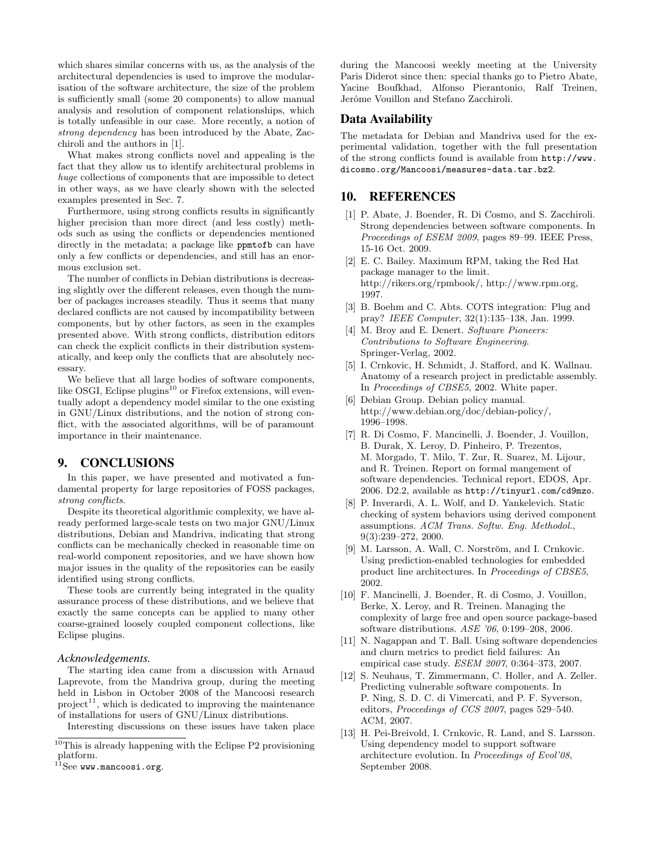which shares similar concerns with us, as the analysis of the architectural dependencies is used to improve the modularisation of the software architecture, the size of the problem is sufficiently small (some 20 components) to allow manual analysis and resolution of component relationships, which is totally unfeasible in our case. More recently, a notion of strong dependency has been introduced by the Abate, Zacchiroli and the authors in [1].

What makes strong conflicts novel and appealing is the fact that they allow us to identify architectural problems in huge collections of components that are impossible to detect in other ways, as we have clearly shown with the selected examples presented in Sec. 7.

Furthermore, using strong conflicts results in significantly higher precision than more direct (and less costly) methods such as using the conflicts or dependencies mentioned directly in the metadata; a package like ppmtofb can have only a few conflicts or dependencies, and still has an enormous exclusion set.

The number of conflicts in Debian distributions is decreasing slightly over the different releases, even though the number of packages increases steadily. Thus it seems that many declared conflicts are not caused by incompatibility between components, but by other factors, as seen in the examples presented above. With strong conflicts, distribution editors can check the explicit conflicts in their distribution systematically, and keep only the conflicts that are absolutely necessary.

We believe that all large bodies of software components, like OSGI, Eclipse plugins<sup>10</sup> or Firefox extensions, will eventually adopt a dependency model similar to the one existing in GNU/Linux distributions, and the notion of strong conflict, with the associated algorithms, will be of paramount importance in their maintenance.

# 9. CONCLUSIONS

In this paper, we have presented and motivated a fundamental property for large repositories of FOSS packages, strong conflicts.

Despite its theoretical algorithmic complexity, we have already performed large-scale tests on two major GNU/Linux distributions, Debian and Mandriva, indicating that strong conflicts can be mechanically checked in reasonable time on real-world component repositories, and we have shown how major issues in the quality of the repositories can be easily identified using strong conflicts.

These tools are currently being integrated in the quality assurance process of these distributions, and we believe that exactly the same concepts can be applied to many other coarse-grained loosely coupled component collections, like Eclipse plugins.

#### *Acknowledgements.*

The starting idea came from a discussion with Arnaud Laprevote, from the Mandriva group, during the meeting held in Lisbon in October 2008 of the Mancoosi research project<sup>11</sup>, which is dedicated to improving the maintenance of installations for users of GNU/Linux distributions.

Interesting discussions on these issues have taken place

during the Mancoosi weekly meeting at the University Paris Diderot since then: special thanks go to Pietro Abate, Yacine Boufkhad, Alfonso Pierantonio, Ralf Treinen, Jerôme Vouillon and Stefano Zacchiroli.

### Data Availability

The metadata for Debian and Mandriva used for the experimental validation, together with the full presentation of the strong conflicts found is available from http://www. dicosmo.org/Mancoosi/measures-data.tar.bz2.

### 10. REFERENCES

- [1] P. Abate, J. Boender, R. Di Cosmo, and S. Zacchiroli. Strong dependencies between software components. In Proceedings of ESEM 2009, pages 89–99. IEEE Press, 15-16 Oct. 2009.
- [2] E. C. Bailey. Maximum RPM, taking the Red Hat package manager to the limit. http://rikers.org/rpmbook/, http://www.rpm.org, 1997.
- [3] B. Boehm and C. Abts. COTS integration: Plug and pray? IEEE Computer, 32(1):135–138, Jan. 1999.
- [4] M. Broy and E. Denert. Software Pioneers: Contributions to Software Engineering. Springer-Verlag, 2002.
- [5] I. Crnkovic, H. Schmidt, J. Stafford, and K. Wallnau. Anatomy of a research project in predictable assembly. In Proceedings of CBSE5, 2002. White paper.
- [6] Debian Group. Debian policy manual. http://www.debian.org/doc/debian-policy/, 1996–1998.
- [7] R. Di Cosmo, F. Mancinelli, J. Boender, J. Vouillon, B. Durak, X. Leroy, D. Pinheiro, P. Trezentos, M. Morgado, T. Milo, T. Zur, R. Suarez, M. Lijour, and R. Treinen. Report on formal mangement of software dependencies. Technical report, EDOS, Apr. 2006. D2.2, available as http://tinyurl.com/cd9mzo.
- [8] P. Inverardi, A. L. Wolf, and D. Yankelevich. Static checking of system behaviors using derived component assumptions. ACM Trans. Softw. Eng. Methodol., 9(3):239–272, 2000.
- [9] M. Larsson, A. Wall, C. Norström, and I. Crnkovic. Using prediction-enabled technologies for embedded product line architectures. In Proceedings of CBSE5, 2002.
- [10] F. Mancinelli, J. Boender, R. di Cosmo, J. Vouillon, Berke, X. Leroy, and R. Treinen. Managing the complexity of large free and open source package-based software distributions. ASE '06, 0:199–208, 2006.
- [11] N. Nagappan and T. Ball. Using software dependencies and churn metrics to predict field failures: An empirical case study. ESEM 2007, 0:364–373, 2007.
- [12] S. Neuhaus, T. Zimmermann, C. Holler, and A. Zeller. Predicting vulnerable software components. In P. Ning, S. D. C. di Vimercati, and P. F. Syverson, editors, Proceedings of CCS 2007, pages 529–540. ACM, 2007.
- [13] H. Pei-Breivold, I. Crnkovic, R. Land, and S. Larsson. Using dependency model to support software architecture evolution. In Proceedings of Evol'08, September 2008.

 $10$ This is already happening with the Eclipse P2 provisioning platform.

 $^{11}$ See www.mancoosi.org.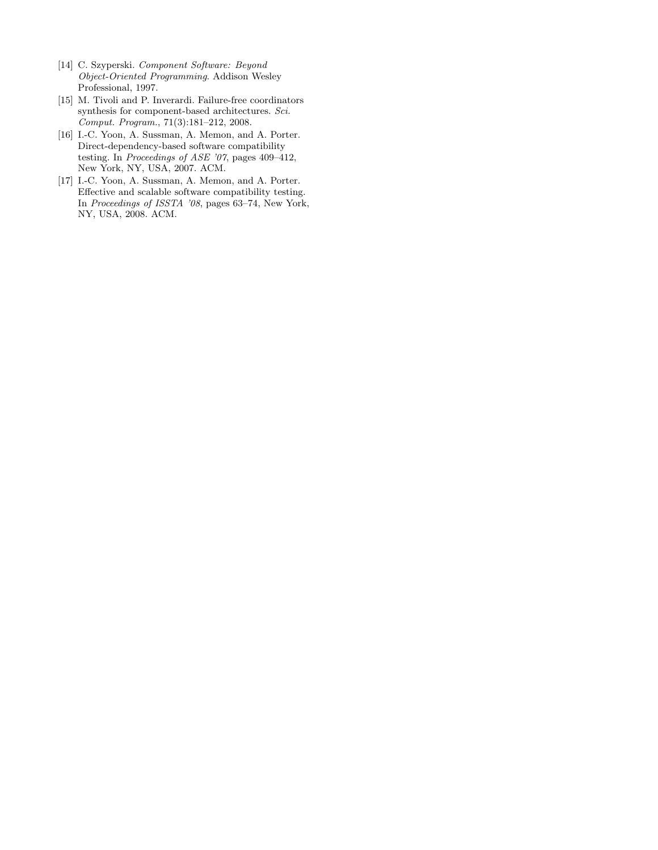- [14] C. Szyperski. Component Software: Beyond Object-Oriented Programming. Addison Wesley Professional, 1997.
- [15] M. Tivoli and P. Inverardi. Failure-free coordinators synthesis for component-based architectures. Sci. Comput. Program., 71(3):181–212, 2008.
- [16] I.-C. Yoon, A. Sussman, A. Memon, and A. Porter. Direct-dependency-based software compatibility testing. In Proceedings of ASE '07, pages 409–412, New York, NY, USA, 2007. ACM.
- [17] I.-C. Yoon, A. Sussman, A. Memon, and A. Porter. Effective and scalable software compatibility testing. In Proceedings of ISSTA '08, pages 63–74, New York, NY, USA, 2008. ACM.